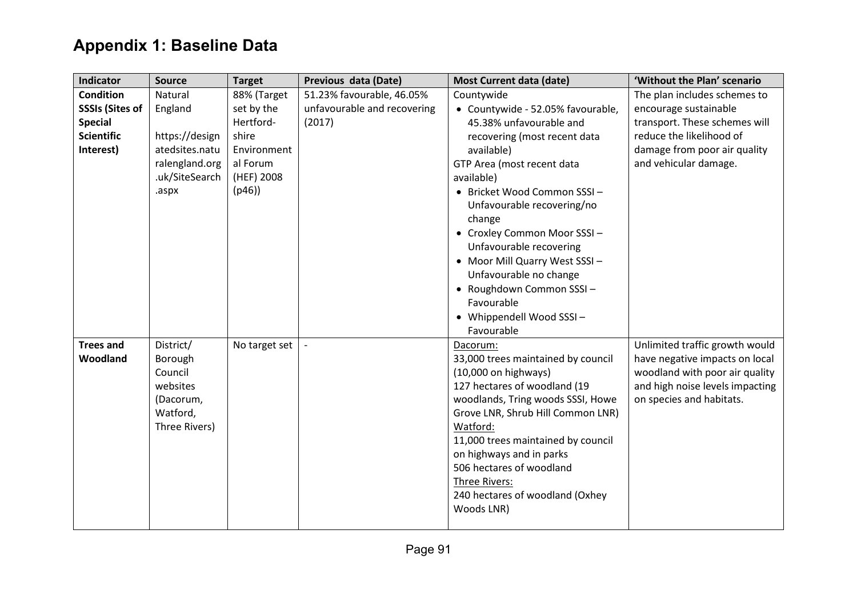| Indicator              | <b>Source</b>  | <b>Target</b> | Previous data (Date)        | <b>Most Current data (date)</b>    | 'Without the Plan' scenario     |
|------------------------|----------------|---------------|-----------------------------|------------------------------------|---------------------------------|
| <b>Condition</b>       | Natural        | 88% (Target   | 51.23% favourable, 46.05%   | Countywide                         | The plan includes schemes to    |
| <b>SSSIs (Sites of</b> | England        | set by the    | unfavourable and recovering | • Countywide - 52.05% favourable,  | encourage sustainable           |
| <b>Special</b>         |                | Hertford-     | (2017)                      | 45.38% unfavourable and            | transport. These schemes will   |
| <b>Scientific</b>      | https://design | shire         |                             | recovering (most recent data       | reduce the likelihood of        |
| Interest)              | atedsites.natu | Environment   |                             | available)                         | damage from poor air quality    |
|                        | ralengland.org | al Forum      |                             | GTP Area (most recent data         | and vehicular damage.           |
|                        | .uk/SiteSearch | (HEF) 2008    |                             | available)                         |                                 |
|                        | .aspx          | (p46)         |                             | • Bricket Wood Common SSSI-        |                                 |
|                        |                |               |                             | Unfavourable recovering/no         |                                 |
|                        |                |               |                             | change                             |                                 |
|                        |                |               |                             | • Croxley Common Moor SSSI-        |                                 |
|                        |                |               |                             | Unfavourable recovering            |                                 |
|                        |                |               |                             | • Moor Mill Quarry West SSSI -     |                                 |
|                        |                |               |                             | Unfavourable no change             |                                 |
|                        |                |               |                             | • Roughdown Common SSSI-           |                                 |
|                        |                |               |                             | Favourable                         |                                 |
|                        |                |               |                             | • Whippendell Wood SSSI-           |                                 |
|                        |                |               |                             | Favourable                         |                                 |
| <b>Trees and</b>       | District/      | No target set |                             | Dacorum:                           | Unlimited traffic growth would  |
| Woodland               | Borough        |               |                             | 33,000 trees maintained by council | have negative impacts on local  |
|                        | Council        |               |                             | (10,000 on highways)               | woodland with poor air quality  |
|                        | websites       |               |                             | 127 hectares of woodland (19       | and high noise levels impacting |
|                        | (Dacorum,      |               |                             | woodlands, Tring woods SSSI, Howe  | on species and habitats.        |
|                        | Watford,       |               |                             | Grove LNR, Shrub Hill Common LNR)  |                                 |
|                        | Three Rivers)  |               |                             | Watford:                           |                                 |
|                        |                |               |                             | 11,000 trees maintained by council |                                 |
|                        |                |               |                             | on highways and in parks           |                                 |
|                        |                |               |                             | 506 hectares of woodland           |                                 |
|                        |                |               |                             | Three Rivers:                      |                                 |
|                        |                |               |                             | 240 hectares of woodland (Oxhey    |                                 |
|                        |                |               |                             | Woods LNR)                         |                                 |
|                        |                |               |                             |                                    |                                 |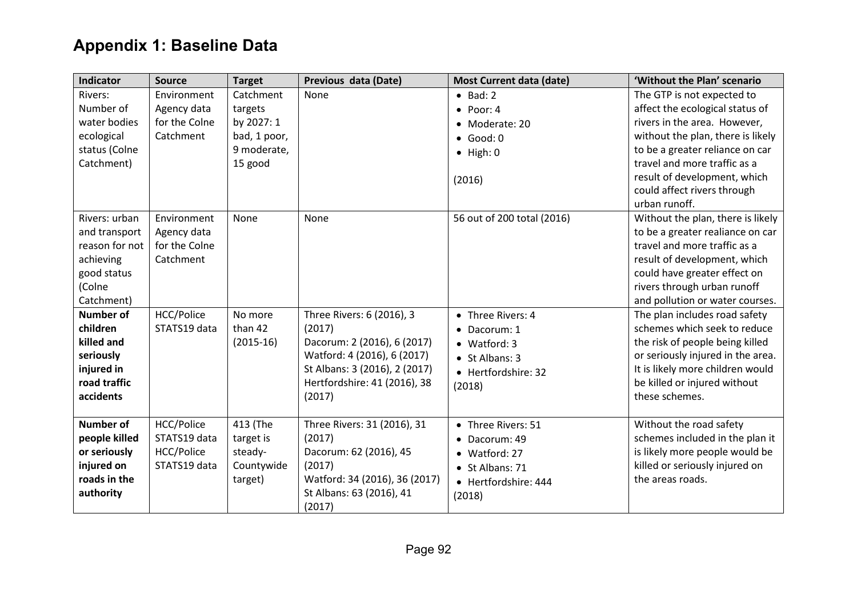| Indicator        | <b>Source</b> | <b>Target</b> | Previous data (Date)               | <b>Most Current data (date)</b> | 'Without the Plan' scenario       |
|------------------|---------------|---------------|------------------------------------|---------------------------------|-----------------------------------|
| Rivers:          | Environment   | Catchment     | None                               | $\bullet$ Bad: 2                | The GTP is not expected to        |
| Number of        | Agency data   | targets       |                                    | $\bullet$ Poor: 4               | affect the ecological status of   |
| water bodies     | for the Colne | by 2027: 1    |                                    | • Moderate: 20                  | rivers in the area. However,      |
| ecological       | Catchment     | bad, 1 poor,  |                                    | $\bullet$ Good: 0               | without the plan, there is likely |
| status (Colne    |               | 9 moderate,   |                                    | $\bullet$ High: 0               | to be a greater reliance on car   |
| Catchment)       |               | 15 good       |                                    |                                 | travel and more traffic as a      |
|                  |               |               |                                    | (2016)                          | result of development, which      |
|                  |               |               |                                    |                                 | could affect rivers through       |
|                  |               |               |                                    |                                 | urban runoff.                     |
| Rivers: urban    | Environment   | None          | None                               | 56 out of 200 total (2016)      | Without the plan, there is likely |
| and transport    | Agency data   |               |                                    |                                 | to be a greater realiance on car  |
| reason for not   | for the Colne |               |                                    |                                 | travel and more traffic as a      |
| achieving        | Catchment     |               |                                    |                                 | result of development, which      |
| good status      |               |               |                                    |                                 | could have greater effect on      |
| (Colne           |               |               |                                    |                                 | rivers through urban runoff       |
| Catchment)       |               |               |                                    |                                 | and pollution or water courses.   |
| <b>Number of</b> | HCC/Police    | No more       | Three Rivers: 6 (2016), 3          | • Three Rivers: 4               | The plan includes road safety     |
| children         | STATS19 data  | than 42       | (2017)                             | • Dacorum: 1                    | schemes which seek to reduce      |
| killed and       |               | $(2015-16)$   | Dacorum: 2 (2016), 6 (2017)        | • Watford: 3                    | the risk of people being killed   |
| seriously        |               |               | Watford: 4 (2016), 6 (2017)        | • St Albans: 3                  | or seriously injured in the area. |
| injured in       |               |               | St Albans: 3 (2016), 2 (2017)      | • Hertfordshire: 32             | It is likely more children would  |
| road traffic     |               |               | Hertfordshire: 41 (2016), 38       | (2018)                          | be killed or injured without      |
| accidents        |               |               | (2017)                             |                                 | these schemes.                    |
|                  |               |               |                                    |                                 |                                   |
| <b>Number of</b> | HCC/Police    | 413 (The      | Three Rivers: 31 (2016), 31        | • Three Rivers: 51              | Without the road safety           |
| people killed    | STATS19 data  | target is     | (2017)                             | · Dacorum: 49                   | schemes included in the plan it   |
| or seriously     | HCC/Police    | steady-       | Dacorum: 62 (2016), 45             | • Watford: 27                   | is likely more people would be    |
| injured on       | STATS19 data  | Countywide    | (2017)                             | • St Albans: 71                 | killed or seriously injured on    |
| roads in the     |               | target)       | Watford: 34 (2016), 36 (2017)      | • Hertfordshire: 444            | the areas roads.                  |
| authority        |               |               | St Albans: 63 (2016), 41<br>(2017) | (2018)                          |                                   |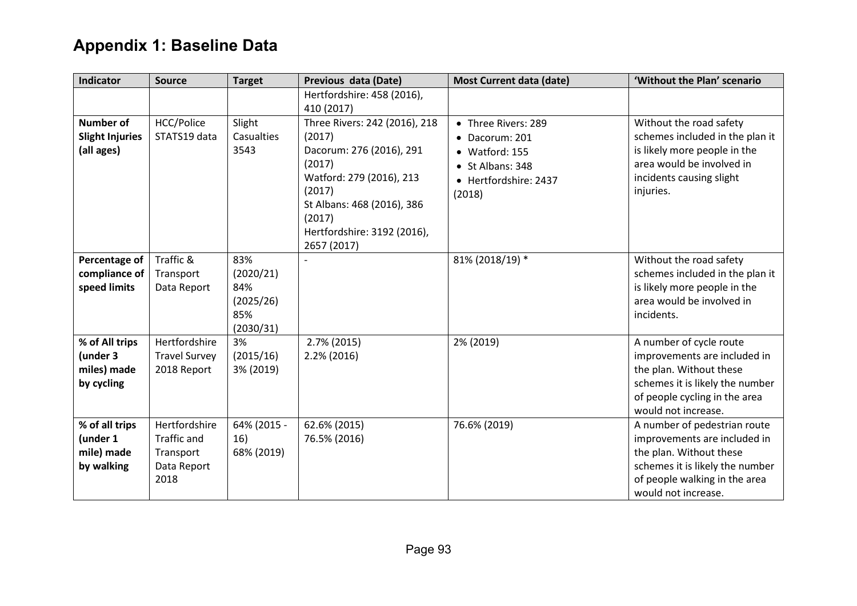| Indicator              | <b>Source</b>        | <b>Target</b>    | Previous data (Date)          | <b>Most Current data (date)</b> | 'Without the Plan' scenario     |
|------------------------|----------------------|------------------|-------------------------------|---------------------------------|---------------------------------|
|                        |                      |                  | Hertfordshire: 458 (2016),    |                                 |                                 |
|                        |                      |                  | 410 (2017)                    |                                 |                                 |
| <b>Number of</b>       | HCC/Police           | Slight           | Three Rivers: 242 (2016), 218 | • Three Rivers: 289             | Without the road safety         |
| <b>Slight Injuries</b> | STATS19 data         | Casualties       | (2017)                        | • Dacorum: 201                  | schemes included in the plan it |
| (all ages)             |                      | 3543             | Dacorum: 276 (2016), 291      | • Watford: 155                  | is likely more people in the    |
|                        |                      |                  | (2017)                        | • St Albans: 348                | area would be involved in       |
|                        |                      |                  | Watford: 279 (2016), 213      | • Hertfordshire: 2437           | incidents causing slight        |
|                        |                      |                  | (2017)                        | (2018)                          | injuries.                       |
|                        |                      |                  | St Albans: 468 (2016), 386    |                                 |                                 |
|                        |                      |                  | (2017)                        |                                 |                                 |
|                        |                      |                  | Hertfordshire: 3192 (2016),   |                                 |                                 |
|                        |                      |                  | 2657 (2017)                   |                                 |                                 |
| Percentage of          | Traffic &            | 83%              |                               | 81% (2018/19) *                 | Without the road safety         |
| compliance of          | Transport            | (2020/21)        |                               |                                 | schemes included in the plan it |
| speed limits           | Data Report          | 84%              |                               |                                 | is likely more people in the    |
|                        |                      | (2025/26)        |                               |                                 | area would be involved in       |
|                        |                      | 85%<br>(2030/31) |                               |                                 | incidents.                      |
| % of All trips         | Hertfordshire        | 3%               | 2.7% (2015)                   | 2% (2019)                       | A number of cycle route         |
| (under 3               | <b>Travel Survey</b> | (2015/16)        | 2.2% (2016)                   |                                 | improvements are included in    |
| miles) made            | 2018 Report          | 3% (2019)        |                               |                                 | the plan. Without these         |
| by cycling             |                      |                  |                               |                                 | schemes it is likely the number |
|                        |                      |                  |                               |                                 | of people cycling in the area   |
|                        |                      |                  |                               |                                 | would not increase.             |
| % of all trips         | Hertfordshire        | 64% (2015 -      | 62.6% (2015)                  | 76.6% (2019)                    | A number of pedestrian route    |
| (under 1               | <b>Traffic and</b>   | 16)              | 76.5% (2016)                  |                                 | improvements are included in    |
| mile) made             | Transport            | 68% (2019)       |                               |                                 | the plan. Without these         |
| by walking             | Data Report          |                  |                               |                                 | schemes it is likely the number |
|                        | 2018                 |                  |                               |                                 | of people walking in the area   |
|                        |                      |                  |                               |                                 | would not increase.             |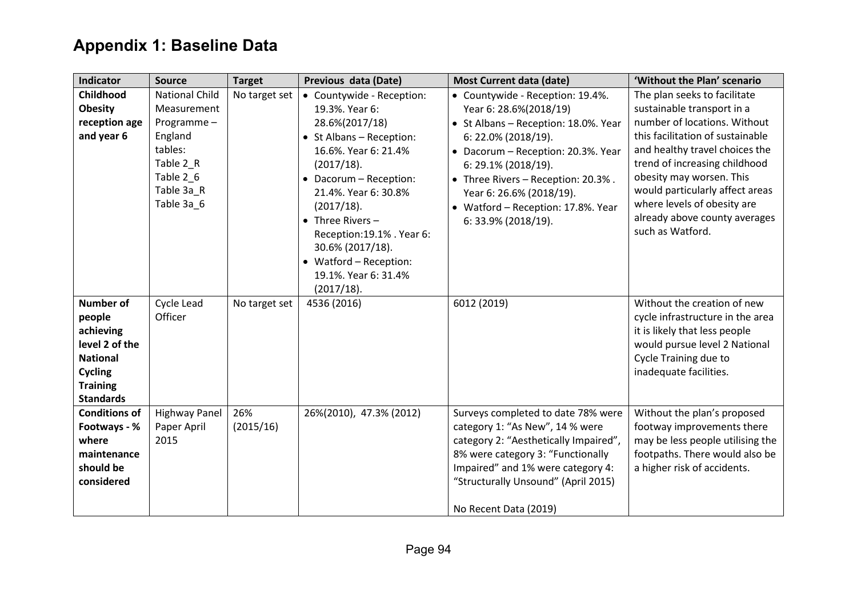| Indicator             | <b>Source</b>         | <b>Target</b> | Previous data (Date)      | <b>Most Current data (date)</b>                                            | 'Without the Plan' scenario                                        |
|-----------------------|-----------------------|---------------|---------------------------|----------------------------------------------------------------------------|--------------------------------------------------------------------|
| Childhood             | <b>National Child</b> | No target set | • Countywide - Reception: | • Countywide - Reception: 19.4%.                                           | The plan seeks to facilitate                                       |
| <b>Obesity</b>        | Measurement           |               | 19.3%. Year 6:            | Year 6: 28.6%(2018/19)                                                     | sustainable transport in a                                         |
| reception age         | Programme-            |               | 28.6%(2017/18)            | • St Albans - Reception: 18.0%. Year                                       | number of locations. Without                                       |
| and year 6            | England               |               | • St Albans - Reception:  | 6: 22.0% (2018/19).                                                        | this facilitation of sustainable                                   |
|                       | tables:               |               | 16.6%. Year 6: 21.4%      | • Dacorum - Reception: 20.3%. Year                                         | and healthy travel choices the                                     |
|                       | Table 2 R             |               | (2017/18).                | 6: 29.1% (2018/19).                                                        | trend of increasing childhood                                      |
|                       | Table 2_6             |               | • Dacorum - Reception:    | • Three Rivers - Reception: 20.3%.                                         | obesity may worsen. This                                           |
|                       | Table 3a_R            |               | 21.4%. Year 6: 30.8%      | Year 6: 26.6% (2018/19).                                                   | would particularly affect areas                                    |
|                       | Table 3a_6            |               | (2017/18).                | • Watford - Reception: 17.8%. Year                                         | where levels of obesity are                                        |
|                       |                       |               | $\bullet$ Three Rivers -  | 6: 33.9% (2018/19).                                                        | already above county averages                                      |
|                       |                       |               | Reception:19.1%. Year 6:  |                                                                            | such as Watford.                                                   |
|                       |                       |               | 30.6% (2017/18).          |                                                                            |                                                                    |
|                       |                       |               | • Watford - Reception:    |                                                                            |                                                                    |
|                       |                       |               | 19.1%. Year 6: 31.4%      |                                                                            |                                                                    |
|                       |                       |               | (2017/18).                |                                                                            |                                                                    |
| <b>Number of</b>      | Cycle Lead            | No target set | 4536 (2016)               | 6012 (2019)                                                                | Without the creation of new                                        |
| people                | Officer               |               |                           |                                                                            | cycle infrastructure in the area                                   |
| achieving             |                       |               |                           |                                                                            | it is likely that less people                                      |
| level 2 of the        |                       |               |                           |                                                                            | would pursue level 2 National                                      |
| <b>National</b>       |                       |               |                           |                                                                            | <b>Cycle Training due to</b>                                       |
| Cycling               |                       |               |                           |                                                                            | inadequate facilities.                                             |
| <b>Training</b>       |                       |               |                           |                                                                            |                                                                    |
| <b>Standards</b>      |                       |               |                           |                                                                            |                                                                    |
| <b>Conditions of</b>  | <b>Highway Panel</b>  | 26%           | 26%(2010), 47.3% (2012)   | Surveys completed to date 78% were                                         | Without the plan's proposed                                        |
| Footways - %<br>where | Paper April<br>2015   | (2015/16)     |                           | category 1: "As New", 14 % were                                            | footway improvements there                                         |
| maintenance           |                       |               |                           | category 2: "Aesthetically Impaired",<br>8% were category 3: "Functionally | may be less people utilising the<br>footpaths. There would also be |
| should be             |                       |               |                           | Impaired" and 1% were category 4:                                          | a higher risk of accidents.                                        |
| considered            |                       |               |                           | "Structurally Unsound" (April 2015)                                        |                                                                    |
|                       |                       |               |                           |                                                                            |                                                                    |
|                       |                       |               |                           | No Recent Data (2019)                                                      |                                                                    |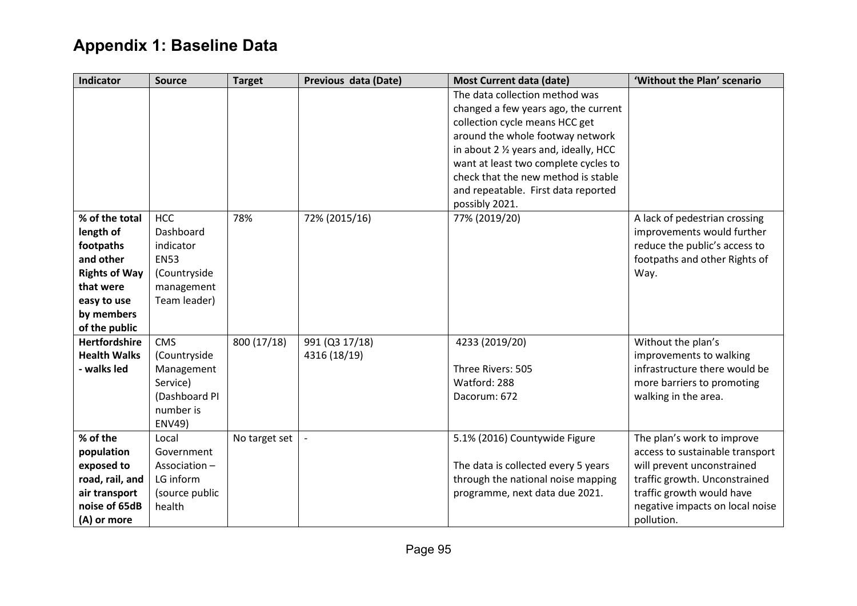| <b>Indicator</b>     | <b>Source</b>              | <b>Target</b> | Previous data (Date) | <b>Most Current data (date)</b>        | 'Without the Plan' scenario     |
|----------------------|----------------------------|---------------|----------------------|----------------------------------------|---------------------------------|
|                      |                            |               |                      | The data collection method was         |                                 |
|                      |                            |               |                      | changed a few years ago, the current   |                                 |
|                      |                            |               |                      | collection cycle means HCC get         |                                 |
|                      |                            |               |                      | around the whole footway network       |                                 |
|                      |                            |               |                      | in about 2 1/2 years and, ideally, HCC |                                 |
|                      |                            |               |                      | want at least two complete cycles to   |                                 |
|                      |                            |               |                      | check that the new method is stable    |                                 |
|                      |                            |               |                      | and repeatable. First data reported    |                                 |
|                      |                            |               |                      | possibly 2021.                         |                                 |
| % of the total       | <b>HCC</b>                 | 78%           | 72% (2015/16)        | 77% (2019/20)                          | A lack of pedestrian crossing   |
| length of            | Dashboard                  |               |                      |                                        | improvements would further      |
| footpaths            | indicator                  |               |                      |                                        | reduce the public's access to   |
| and other            | <b>EN53</b>                |               |                      |                                        | footpaths and other Rights of   |
| <b>Rights of Way</b> | (Countryside               |               |                      |                                        | Way.                            |
| that were            | management                 |               |                      |                                        |                                 |
| easy to use          | Team leader)               |               |                      |                                        |                                 |
| by members           |                            |               |                      |                                        |                                 |
| of the public        |                            |               |                      |                                        |                                 |
| <b>Hertfordshire</b> | <b>CMS</b>                 | 800 (17/18)   | 991 (Q3 17/18)       | 4233 (2019/20)                         | Without the plan's              |
| <b>Health Walks</b>  | (Countryside               |               | 4316 (18/19)         |                                        | improvements to walking         |
| - walks led          | Management                 |               |                      | Three Rivers: 505                      | infrastructure there would be   |
|                      | Service)                   |               |                      | Watford: 288                           | more barriers to promoting      |
|                      | (Dashboard PI<br>number is |               |                      | Dacorum: 672                           | walking in the area.            |
|                      | <b>ENV49)</b>              |               |                      |                                        |                                 |
| % of the             | Local                      | No target set |                      | 5.1% (2016) Countywide Figure          | The plan's work to improve      |
| population           | Government                 |               |                      |                                        | access to sustainable transport |
| exposed to           | Association-               |               |                      | The data is collected every 5 years    | will prevent unconstrained      |
| road, rail, and      | LG inform                  |               |                      | through the national noise mapping     | traffic growth. Unconstrained   |
| air transport        | (source public             |               |                      | programme, next data due 2021.         | traffic growth would have       |
| noise of 65dB        | health                     |               |                      |                                        | negative impacts on local noise |
| (A) or more          |                            |               |                      |                                        | pollution.                      |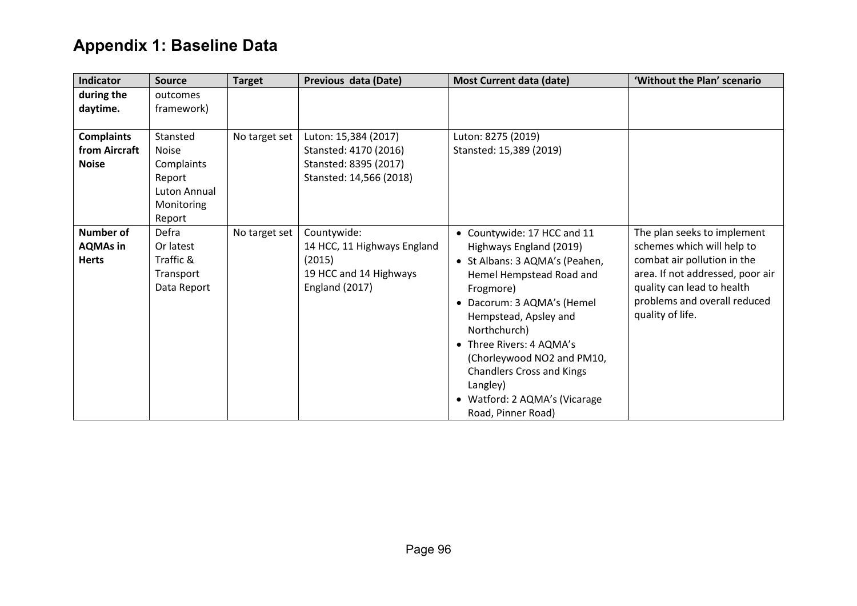| Indicator                                          | <b>Source</b>                                                                            | <b>Target</b> | Previous data (Date)                                                                                    | <b>Most Current data (date)</b>                                                                                                                                                                                                                                                                                                                                           | 'Without the Plan' scenario                                                                                                                                                                                    |
|----------------------------------------------------|------------------------------------------------------------------------------------------|---------------|---------------------------------------------------------------------------------------------------------|---------------------------------------------------------------------------------------------------------------------------------------------------------------------------------------------------------------------------------------------------------------------------------------------------------------------------------------------------------------------------|----------------------------------------------------------------------------------------------------------------------------------------------------------------------------------------------------------------|
| during the<br>daytime.                             | outcomes<br>framework)                                                                   |               |                                                                                                         |                                                                                                                                                                                                                                                                                                                                                                           |                                                                                                                                                                                                                |
| <b>Complaints</b><br>from Aircraft<br><b>Noise</b> | Stansted<br><b>Noise</b><br>Complaints<br>Report<br>Luton Annual<br>Monitoring<br>Report | No target set | Luton: 15,384 (2017)<br>Stansted: 4170 (2016)<br>Stansted: 8395 (2017)<br>Stansted: 14,566 (2018)       | Luton: 8275 (2019)<br>Stansted: 15,389 (2019)                                                                                                                                                                                                                                                                                                                             |                                                                                                                                                                                                                |
| Number of<br><b>AQMAs in</b><br><b>Herts</b>       | Defra<br>Or latest<br>Traffic &<br>Transport<br>Data Report                              | No target set | Countywide:<br>14 HCC, 11 Highways England<br>(2015)<br>19 HCC and 14 Highways<br><b>England (2017)</b> | • Countywide: 17 HCC and 11<br>Highways England (2019)<br>• St Albans: 3 AQMA's (Peahen,<br>Hemel Hempstead Road and<br>Frogmore)<br>• Dacorum: 3 AQMA's (Hemel<br>Hempstead, Apsley and<br>Northchurch)<br>• Three Rivers: 4 AQMA's<br>(Chorleywood NO2 and PM10,<br><b>Chandlers Cross and Kings</b><br>Langley)<br>• Watford: 2 AQMA's (Vicarage<br>Road, Pinner Road) | The plan seeks to implement<br>schemes which will help to<br>combat air pollution in the<br>area. If not addressed, poor air<br>quality can lead to health<br>problems and overall reduced<br>quality of life. |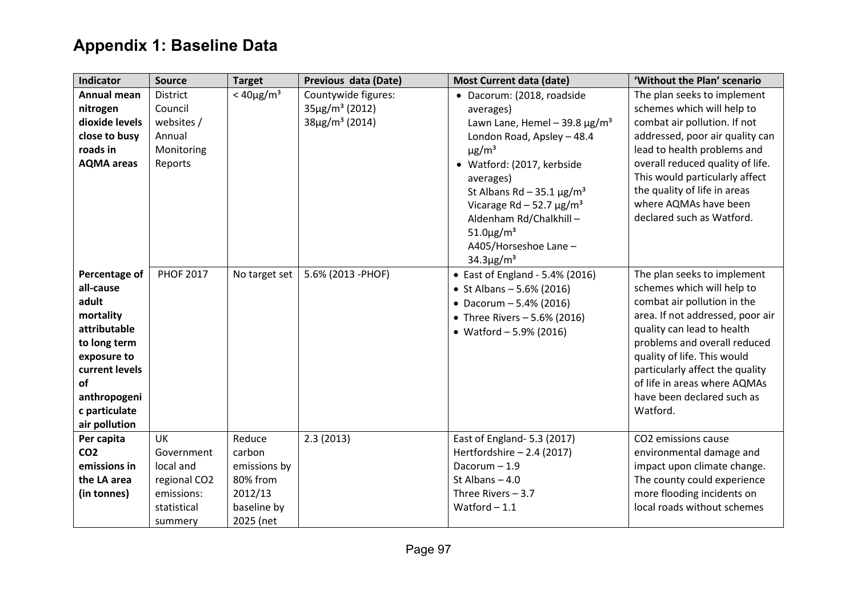| Indicator         | <b>Source</b>    | <b>Target</b>                 | Previous data (Date)       | <b>Most Current data (date)</b>                | 'Without the Plan' scenario      |
|-------------------|------------------|-------------------------------|----------------------------|------------------------------------------------|----------------------------------|
| Annual mean       | <b>District</b>  | $<$ 40 $\mu$ g/m <sup>3</sup> | Countywide figures:        | · Dacorum: (2018, roadside                     | The plan seeks to implement      |
| nitrogen          | Council          |                               | $35\mu g/m^3$ (2012)       | averages)                                      | schemes which will help to       |
| dioxide levels    | websites /       |                               | 38µg/m <sup>3</sup> (2014) | Lawn Lane, Hemel - 39.8 $\mu$ g/m <sup>3</sup> | combat air pollution. If not     |
| close to busy     | Annual           |                               |                            | London Road, Apsley - 48.4                     | addressed, poor air quality can  |
| roads in          | Monitoring       |                               |                            | $\mu$ g/m <sup>3</sup>                         | lead to health problems and      |
| <b>AQMA</b> areas | Reports          |                               |                            | • Watford: (2017, kerbside                     | overall reduced quality of life. |
|                   |                  |                               |                            | averages)                                      | This would particularly affect   |
|                   |                  |                               |                            | St Albans Rd - 35.1 $\mu$ g/m <sup>3</sup>     | the quality of life in areas     |
|                   |                  |                               |                            | Vicarage Rd $-$ 52.7 $\mu$ g/m <sup>3</sup>    | where AQMAs have been            |
|                   |                  |                               |                            | Aldenham Rd/Chalkhill-                         | declared such as Watford.        |
|                   |                  |                               |                            | $51.0 \mu g/m^3$                               |                                  |
|                   |                  |                               |                            | A405/Horseshoe Lane -                          |                                  |
|                   |                  |                               |                            | $34.3 \mu g/m^3$                               |                                  |
| Percentage of     | <b>PHOF 2017</b> | No target set                 | 5.6% (2013 - PHOF)         | • East of England - 5.4% (2016)                | The plan seeks to implement      |
| all-cause         |                  |                               |                            | • St Albans $-5.6%$ (2016)                     | schemes which will help to       |
| adult             |                  |                               |                            | • Dacorum $-5.4% (2016)$                       | combat air pollution in the      |
| mortality         |                  |                               |                            | • Three Rivers - 5.6% (2016)                   | area. If not addressed, poor air |
| attributable      |                  |                               |                            | • Watford $-5.9% (2016)$                       | quality can lead to health       |
| to long term      |                  |                               |                            |                                                | problems and overall reduced     |
| exposure to       |                  |                               |                            |                                                | quality of life. This would      |
| current levels    |                  |                               |                            |                                                | particularly affect the quality  |
| of                |                  |                               |                            |                                                | of life in areas where AQMAs     |
| anthropogeni      |                  |                               |                            |                                                | have been declared such as       |
| c particulate     |                  |                               |                            |                                                | Watford.                         |
| air pollution     |                  |                               |                            |                                                |                                  |
| Per capita        | UK               | Reduce                        | 2.3(2013)                  | East of England- 5.3 (2017)                    | CO2 emissions cause              |
| CO <sub>2</sub>   | Government       | carbon                        |                            | Hertfordshire $-2.4$ (2017)                    | environmental damage and         |
| emissions in      | local and        | emissions by                  |                            | Dacorum $-1.9$                                 | impact upon climate change.      |
| the LA area       | regional CO2     | 80% from                      |                            | St Albans $-4.0$                               | The county could experience      |
| (in tonnes)       | emissions:       | 2012/13                       |                            | Three Rivers $-3.7$                            | more flooding incidents on       |
|                   | statistical      | baseline by                   |                            | Watford $-1.1$                                 | local roads without schemes      |
|                   | summery          | 2025 (net                     |                            |                                                |                                  |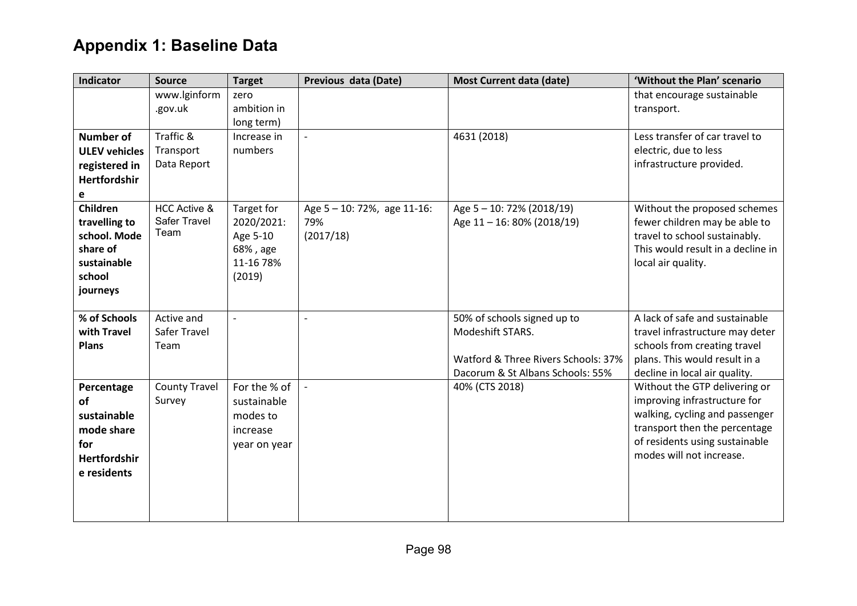| <b>Indicator</b>            | <b>Source</b>              | <b>Target</b> | Previous data (Date)        | <b>Most Current data (date)</b>                 | 'Without the Plan' scenario                                     |
|-----------------------------|----------------------------|---------------|-----------------------------|-------------------------------------------------|-----------------------------------------------------------------|
|                             | www.lginform               | zero          |                             |                                                 | that encourage sustainable                                      |
|                             | .gov.uk                    | ambition in   |                             |                                                 | transport.                                                      |
|                             |                            | long term)    |                             |                                                 |                                                                 |
| <b>Number of</b>            | Traffic &                  | Increase in   | $\overline{\phantom{a}}$    | 4631 (2018)                                     | Less transfer of car travel to                                  |
| <b>ULEV</b> vehicles        | Transport                  | numbers       |                             |                                                 | electric, due to less                                           |
| registered in               | Data Report                |               |                             |                                                 | infrastructure provided.                                        |
| Hertfordshir                |                            |               |                             |                                                 |                                                                 |
| e                           |                            |               |                             |                                                 |                                                                 |
| Children                    | <b>HCC Active &amp;</b>    | Target for    | Age 5 - 10: 72%, age 11-16: | Age 5 - 10: 72% (2018/19)                       | Without the proposed schemes                                    |
| travelling to               | Safer Travel               | 2020/2021:    | 79%                         | Age 11-16:80% (2018/19)                         | fewer children may be able to                                   |
| school. Mode                | Team                       | Age 5-10      | (2017/18)                   |                                                 | travel to school sustainably.                                   |
| share of                    |                            | 68%, age      |                             |                                                 | This would result in a decline in                               |
| sustainable                 |                            | 11-16 78%     |                             |                                                 | local air quality.                                              |
| school                      |                            | (2019)        |                             |                                                 |                                                                 |
| journeys                    |                            |               |                             |                                                 |                                                                 |
|                             |                            |               |                             |                                                 |                                                                 |
| % of Schools<br>with Travel | Active and<br>Safer Travel |               |                             | 50% of schools signed up to<br>Modeshift STARS. | A lack of safe and sustainable                                  |
| <b>Plans</b>                | Team                       |               |                             |                                                 | travel infrastructure may deter<br>schools from creating travel |
|                             |                            |               |                             | Watford & Three Rivers Schools: 37%             | plans. This would result in a                                   |
|                             |                            |               |                             | Dacorum & St Albans Schools: 55%                | decline in local air quality.                                   |
| Percentage                  | <b>County Travel</b>       | For the % of  |                             | 40% (CTS 2018)                                  | Without the GTP delivering or                                   |
| of                          | Survey                     | sustainable   |                             |                                                 | improving infrastructure for                                    |
| sustainable                 |                            | modes to      |                             |                                                 | walking, cycling and passenger                                  |
| mode share                  |                            | increase      |                             |                                                 | transport then the percentage                                   |
| for                         |                            |               |                             |                                                 | of residents using sustainable                                  |
| <b>Hertfordshir</b>         |                            | year on year  |                             |                                                 | modes will not increase.                                        |
|                             |                            |               |                             |                                                 |                                                                 |
| e residents                 |                            |               |                             |                                                 |                                                                 |
|                             |                            |               |                             |                                                 |                                                                 |
|                             |                            |               |                             |                                                 |                                                                 |
|                             |                            |               |                             |                                                 |                                                                 |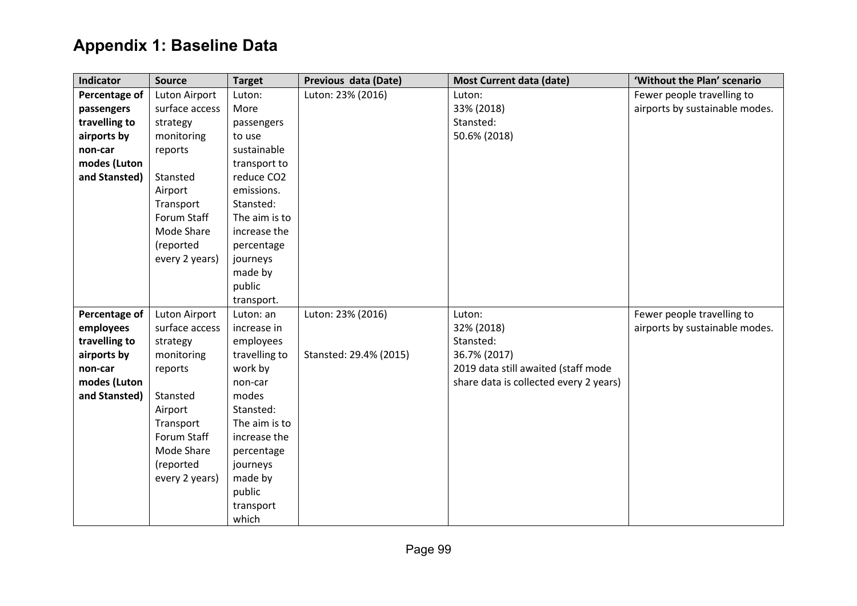| Indicator     | <b>Source</b>        | <b>Target</b> | Previous data (Date)   | <b>Most Current data (date)</b>        | 'Without the Plan' scenario    |
|---------------|----------------------|---------------|------------------------|----------------------------------------|--------------------------------|
| Percentage of | <b>Luton Airport</b> | Luton:        | Luton: 23% (2016)      | Luton:                                 | Fewer people travelling to     |
| passengers    | surface access       | More          |                        | 33% (2018)                             | airports by sustainable modes. |
| travelling to | strategy             | passengers    |                        | Stansted:                              |                                |
| airports by   | monitoring           | to use        |                        | 50.6% (2018)                           |                                |
| non-car       | reports              | sustainable   |                        |                                        |                                |
| modes (Luton  |                      | transport to  |                        |                                        |                                |
| and Stansted) | Stansted             | reduce CO2    |                        |                                        |                                |
|               | Airport              | emissions.    |                        |                                        |                                |
|               | Transport            | Stansted:     |                        |                                        |                                |
|               | Forum Staff          | The aim is to |                        |                                        |                                |
|               | Mode Share           | increase the  |                        |                                        |                                |
|               | (reported            | percentage    |                        |                                        |                                |
|               | every 2 years)       | journeys      |                        |                                        |                                |
|               |                      | made by       |                        |                                        |                                |
|               |                      | public        |                        |                                        |                                |
|               |                      | transport.    |                        |                                        |                                |
| Percentage of | <b>Luton Airport</b> | Luton: an     | Luton: 23% (2016)      | Luton:                                 | Fewer people travelling to     |
| employees     | surface access       | increase in   |                        | 32% (2018)                             | airports by sustainable modes. |
| travelling to | strategy             | employees     |                        | Stansted:                              |                                |
| airports by   | monitoring           | travelling to | Stansted: 29.4% (2015) | 36.7% (2017)                           |                                |
| non-car       | reports              | work by       |                        | 2019 data still awaited (staff mode    |                                |
| modes (Luton  |                      | non-car       |                        | share data is collected every 2 years) |                                |
| and Stansted) | Stansted             | modes         |                        |                                        |                                |
|               | Airport              | Stansted:     |                        |                                        |                                |
|               | Transport            | The aim is to |                        |                                        |                                |
|               | Forum Staff          | increase the  |                        |                                        |                                |
|               | Mode Share           | percentage    |                        |                                        |                                |
|               | (reported            | journeys      |                        |                                        |                                |
|               | every 2 years)       | made by       |                        |                                        |                                |
|               |                      | public        |                        |                                        |                                |
|               |                      | transport     |                        |                                        |                                |
|               |                      | which         |                        |                                        |                                |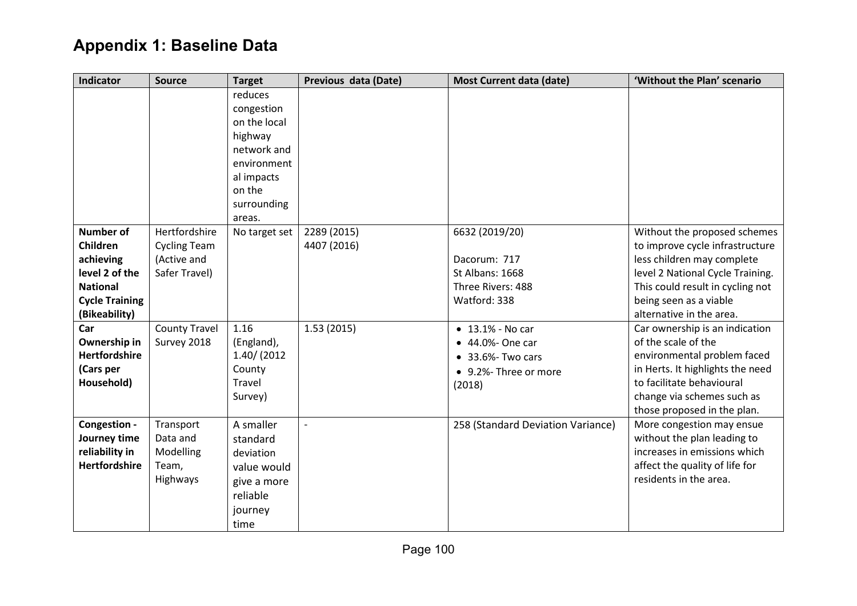| <b>Indicator</b>      | <b>Source</b>        | <b>Target</b>  | Previous data (Date)     | <b>Most Current data (date)</b>       | 'Without the Plan' scenario                        |
|-----------------------|----------------------|----------------|--------------------------|---------------------------------------|----------------------------------------------------|
|                       |                      | reduces        |                          |                                       |                                                    |
|                       |                      | congestion     |                          |                                       |                                                    |
|                       |                      | on the local   |                          |                                       |                                                    |
|                       |                      | highway        |                          |                                       |                                                    |
|                       |                      | network and    |                          |                                       |                                                    |
|                       |                      | environment    |                          |                                       |                                                    |
|                       |                      | al impacts     |                          |                                       |                                                    |
|                       |                      | on the         |                          |                                       |                                                    |
|                       |                      | surrounding    |                          |                                       |                                                    |
|                       |                      | areas.         |                          |                                       |                                                    |
| <b>Number of</b>      | Hertfordshire        | No target set  | 2289 (2015)              | 6632 (2019/20)                        | Without the proposed schemes                       |
| Children              | <b>Cycling Team</b>  |                | 4407 (2016)              |                                       | to improve cycle infrastructure                    |
| achieving             | (Active and          |                |                          | Dacorum: 717                          | less children may complete                         |
| level 2 of the        | Safer Travel)        |                |                          | St Albans: 1668                       | level 2 National Cycle Training.                   |
| <b>National</b>       |                      |                |                          | Three Rivers: 488<br>Watford: 338     | This could result in cycling not                   |
| <b>Cycle Training</b> |                      |                |                          |                                       | being seen as a viable<br>alternative in the area. |
| (Bikeability)<br>Car  | <b>County Travel</b> | 1.16           | 1.53(2015)               |                                       | Car ownership is an indication                     |
| Ownership in          | Survey 2018          | (England),     |                          | $\bullet$ 13.1% - No car              | of the scale of the                                |
| <b>Hertfordshire</b>  |                      | $1.40/$ (2012) |                          | • 44.0%- One car<br>• 33.6%- Two cars | environmental problem faced                        |
| (Cars per             |                      | County         |                          |                                       | in Herts. It highlights the need                   |
| Household)            |                      | Travel         |                          | • 9.2%- Three or more                 | to facilitate behavioural                          |
|                       |                      | Survey)        |                          | (2018)                                | change via schemes such as                         |
|                       |                      |                |                          |                                       | those proposed in the plan.                        |
| Congestion -          | Transport            | A smaller      | $\overline{\phantom{0}}$ | 258 (Standard Deviation Variance)     | More congestion may ensue                          |
| Journey time          | Data and             | standard       |                          |                                       | without the plan leading to                        |
| reliability in        | Modelling            | deviation      |                          |                                       | increases in emissions which                       |
| <b>Hertfordshire</b>  | Team,                | value would    |                          |                                       | affect the quality of life for                     |
|                       | Highways             | give a more    |                          |                                       | residents in the area.                             |
|                       |                      | reliable       |                          |                                       |                                                    |
|                       |                      | journey        |                          |                                       |                                                    |
|                       |                      | time           |                          |                                       |                                                    |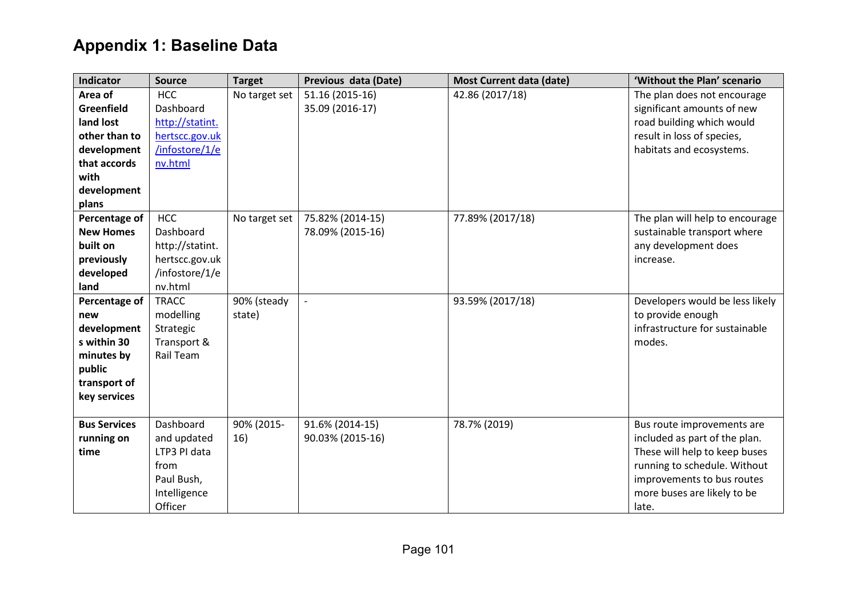| Indicator           | <b>Source</b>   | <b>Target</b> | Previous data (Date) | Most Current data (date) | 'Without the Plan' scenario     |
|---------------------|-----------------|---------------|----------------------|--------------------------|---------------------------------|
| Area of             | <b>HCC</b>      | No target set | 51.16 (2015-16)      | 42.86 (2017/18)          | The plan does not encourage     |
| Greenfield          | Dashboard       |               | 35.09 (2016-17)      |                          | significant amounts of new      |
| land lost           | http://statint. |               |                      |                          | road building which would       |
| other than to       | hertscc.gov.uk  |               |                      |                          | result in loss of species,      |
| development         | /infostore/1/e  |               |                      |                          | habitats and ecosystems.        |
| that accords        | nv.html         |               |                      |                          |                                 |
| with                |                 |               |                      |                          |                                 |
| development         |                 |               |                      |                          |                                 |
| plans               |                 |               |                      |                          |                                 |
| Percentage of       | <b>HCC</b>      | No target set | 75.82% (2014-15)     | 77.89% (2017/18)         | The plan will help to encourage |
| <b>New Homes</b>    | Dashboard       |               | 78.09% (2015-16)     |                          | sustainable transport where     |
| built on            | http://statint. |               |                      |                          | any development does            |
| previously          | hertscc.gov.uk  |               |                      |                          | increase.                       |
| developed           | /infostore/1/e  |               |                      |                          |                                 |
| land                | nv.html         |               |                      |                          |                                 |
| Percentage of       | <b>TRACC</b>    | 90% (steady   |                      | 93.59% (2017/18)         | Developers would be less likely |
| new                 | modelling       | state)        |                      |                          | to provide enough               |
| development         | Strategic       |               |                      |                          | infrastructure for sustainable  |
| s within 30         | Transport &     |               |                      |                          | modes.                          |
| minutes by          | Rail Team       |               |                      |                          |                                 |
| public              |                 |               |                      |                          |                                 |
| transport of        |                 |               |                      |                          |                                 |
| key services        |                 |               |                      |                          |                                 |
|                     |                 |               |                      |                          |                                 |
| <b>Bus Services</b> | Dashboard       | 90% (2015-    | 91.6% (2014-15)      | 78.7% (2019)             | Bus route improvements are      |
| running on          | and updated     | 16)           | 90.03% (2015-16)     |                          | included as part of the plan.   |
| time                | LTP3 PI data    |               |                      |                          | These will help to keep buses   |
|                     | from            |               |                      |                          | running to schedule. Without    |
|                     | Paul Bush,      |               |                      |                          | improvements to bus routes      |
|                     | Intelligence    |               |                      |                          | more buses are likely to be     |
|                     | Officer         |               |                      |                          | late.                           |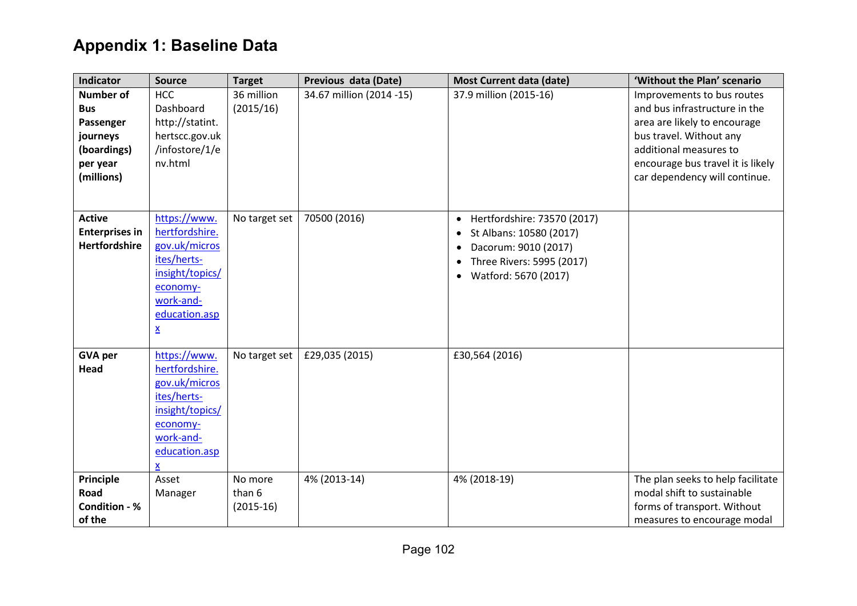| Indicator                      | <b>Source</b>           | <b>Target</b>           | Previous data (Date)     | <b>Most Current data (date)</b>          | 'Without the Plan' scenario                                        |
|--------------------------------|-------------------------|-------------------------|--------------------------|------------------------------------------|--------------------------------------------------------------------|
| <b>Number of</b><br><b>Bus</b> | <b>HCC</b><br>Dashboard | 36 million<br>(2015/16) | 34.67 million (2014 -15) | 37.9 million (2015-16)                   | Improvements to bus routes<br>and bus infrastructure in the        |
| Passenger                      | http://statint.         |                         |                          |                                          | area are likely to encourage                                       |
| journeys                       | hertscc.gov.uk          |                         |                          |                                          | bus travel. Without any                                            |
| (boardings)                    | /infostore/1/e          |                         |                          |                                          | additional measures to                                             |
| per year<br>(millions)         | nv.html                 |                         |                          |                                          | encourage bus travel it is likely<br>car dependency will continue. |
|                                |                         |                         |                          |                                          |                                                                    |
|                                |                         |                         |                          |                                          |                                                                    |
| <b>Active</b>                  | https://www.            | No target set           | 70500 (2016)             | Hertfordshire: 73570 (2017)<br>$\bullet$ |                                                                    |
| <b>Enterprises in</b>          | hertfordshire.          |                         |                          | St Albans: 10580 (2017)<br>$\bullet$     |                                                                    |
| <b>Hertfordshire</b>           | gov.uk/micros           |                         |                          | Dacorum: 9010 (2017)<br>$\bullet$        |                                                                    |
|                                | ites/herts-             |                         |                          | Three Rivers: 5995 (2017)<br>٠           |                                                                    |
|                                | insight/topics/         |                         |                          | Watford: 5670 (2017)<br>$\bullet$        |                                                                    |
|                                | economy-<br>work-and-   |                         |                          |                                          |                                                                    |
|                                | education.asp           |                         |                          |                                          |                                                                    |
|                                | $\underline{x}$         |                         |                          |                                          |                                                                    |
|                                |                         |                         |                          |                                          |                                                                    |
| <b>GVA per</b>                 | https://www.            | No target set           | £29,035 (2015)           | £30,564 (2016)                           |                                                                    |
| Head                           | hertfordshire.          |                         |                          |                                          |                                                                    |
|                                | gov.uk/micros           |                         |                          |                                          |                                                                    |
|                                | ites/herts-             |                         |                          |                                          |                                                                    |
|                                | insight/topics/         |                         |                          |                                          |                                                                    |
|                                | economy-<br>work-and-   |                         |                          |                                          |                                                                    |
|                                | education.asp           |                         |                          |                                          |                                                                    |
|                                | $\mathbf x$             |                         |                          |                                          |                                                                    |
| Principle                      | Asset                   | No more                 | 4% (2013-14)             | 4% (2018-19)                             | The plan seeks to help facilitate                                  |
| Road                           | Manager                 | than 6                  |                          |                                          | modal shift to sustainable                                         |
| Condition - %                  |                         | $(2015-16)$             |                          |                                          | forms of transport. Without                                        |
| of the                         |                         |                         |                          |                                          | measures to encourage modal                                        |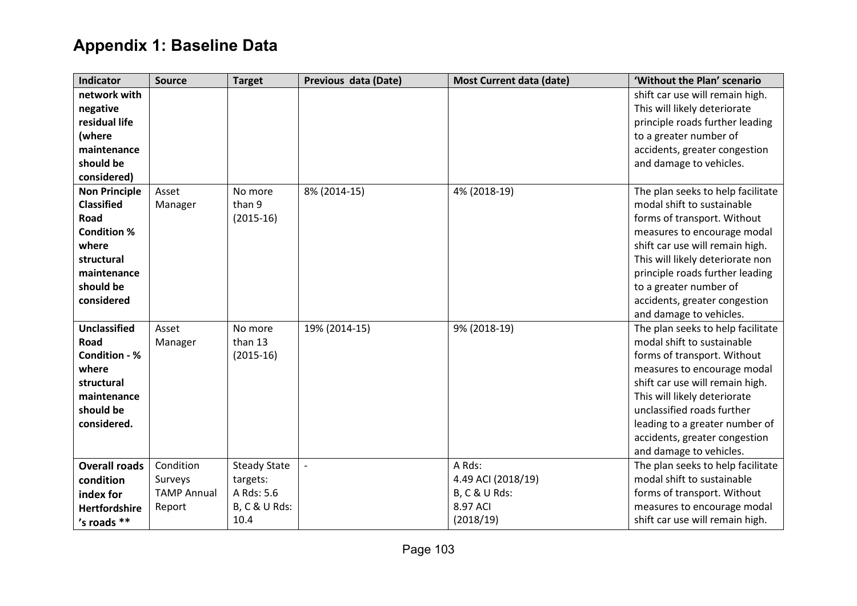| <b>Indicator</b>                                                                                                                         | <b>Source</b>                                        | <b>Target</b>                                                          | Previous data (Date) | <b>Most Current data (date)</b>                                        | 'Without the Plan' scenario                                                                                                                                                                                                                                                                                                   |
|------------------------------------------------------------------------------------------------------------------------------------------|------------------------------------------------------|------------------------------------------------------------------------|----------------------|------------------------------------------------------------------------|-------------------------------------------------------------------------------------------------------------------------------------------------------------------------------------------------------------------------------------------------------------------------------------------------------------------------------|
| network with<br>negative<br>residual life<br>(where<br>maintenance<br>should be<br>considered)                                           |                                                      |                                                                        |                      |                                                                        | shift car use will remain high.<br>This will likely deteriorate<br>principle roads further leading<br>to a greater number of<br>accidents, greater congestion<br>and damage to vehicles.                                                                                                                                      |
| <b>Non Principle</b><br><b>Classified</b><br>Road<br><b>Condition %</b><br>where<br>structural<br>maintenance<br>should be<br>considered | Asset<br>Manager                                     | No more<br>than 9<br>$(2015-16)$                                       | 8% (2014-15)         | 4% (2018-19)                                                           | The plan seeks to help facilitate<br>modal shift to sustainable<br>forms of transport. Without<br>measures to encourage modal<br>shift car use will remain high.<br>This will likely deteriorate non<br>principle roads further leading<br>to a greater number of<br>accidents, greater congestion<br>and damage to vehicles. |
| <b>Unclassified</b><br>Road<br>Condition - %<br>where<br>structural<br>maintenance<br>should be<br>considered.                           | Asset<br>Manager                                     | No more<br>than 13<br>$(2015-16)$                                      | 19% (2014-15)        | 9% (2018-19)                                                           | The plan seeks to help facilitate<br>modal shift to sustainable<br>forms of transport. Without<br>measures to encourage modal<br>shift car use will remain high.<br>This will likely deteriorate<br>unclassified roads further<br>leading to a greater number of<br>accidents, greater congestion<br>and damage to vehicles.  |
| <b>Overall roads</b><br>condition<br>index for<br><b>Hertfordshire</b><br>'s roads $**$                                                  | Condition<br>Surveys<br><b>TAMP Annual</b><br>Report | <b>Steady State</b><br>targets:<br>A Rds: 5.6<br>B, C & U Rds:<br>10.4 |                      | A Rds:<br>4.49 ACI (2018/19)<br>B, C & U Rds:<br>8.97 ACI<br>(2018/19) | The plan seeks to help facilitate<br>modal shift to sustainable<br>forms of transport. Without<br>measures to encourage modal<br>shift car use will remain high.                                                                                                                                                              |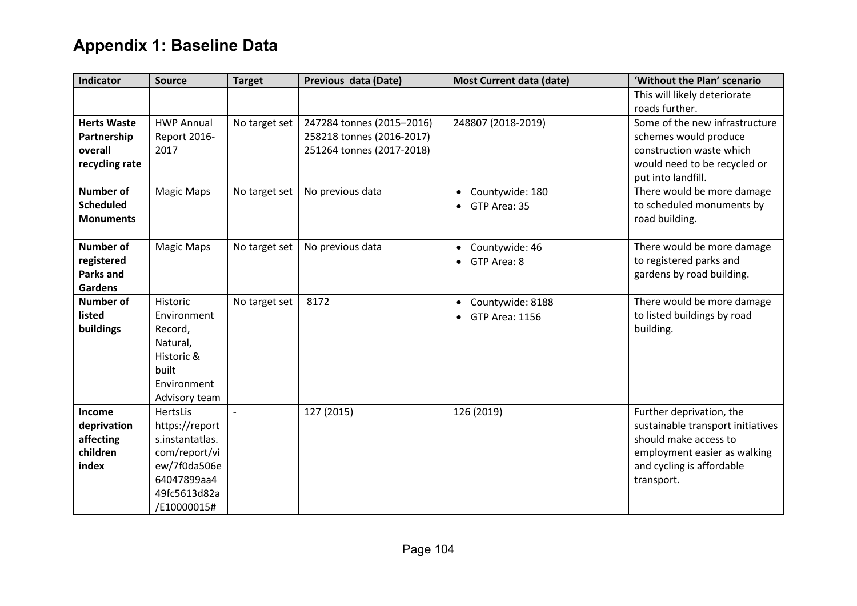| Indicator          | <b>Source</b>     | <b>Target</b>  | Previous data (Date)      | <b>Most Current data (date)</b> | 'Without the Plan' scenario       |
|--------------------|-------------------|----------------|---------------------------|---------------------------------|-----------------------------------|
|                    |                   |                |                           |                                 | This will likely deteriorate      |
|                    |                   |                |                           |                                 | roads further.                    |
| <b>Herts Waste</b> | <b>HWP Annual</b> | No target set  | 247284 tonnes (2015-2016) | 248807 (2018-2019)              | Some of the new infrastructure    |
| Partnership        | Report 2016-      |                | 258218 tonnes (2016-2017) |                                 | schemes would produce             |
| overall            | 2017              |                | 251264 tonnes (2017-2018) |                                 | construction waste which          |
| recycling rate     |                   |                |                           |                                 | would need to be recycled or      |
|                    |                   |                |                           |                                 | put into landfill.                |
| <b>Number of</b>   | <b>Magic Maps</b> | No target set  | No previous data          | Countywide: 180<br>$\bullet$    | There would be more damage        |
| <b>Scheduled</b>   |                   |                |                           | GTP Area: 35<br>$\bullet$       | to scheduled monuments by         |
| <b>Monuments</b>   |                   |                |                           |                                 | road building.                    |
|                    |                   |                |                           |                                 |                                   |
| Number of          | <b>Magic Maps</b> | No target set  | No previous data          | Countywide: 46<br>$\bullet$     | There would be more damage        |
| registered         |                   |                |                           | GTP Area: 8<br>$\bullet$        | to registered parks and           |
| <b>Parks and</b>   |                   |                |                           |                                 | gardens by road building.         |
| <b>Gardens</b>     |                   |                |                           |                                 |                                   |
| Number of          | Historic          | No target set  | 8172                      | Countywide: 8188<br>$\bullet$   | There would be more damage        |
| listed             | Environment       |                |                           | <b>GTP Area: 1156</b>           | to listed buildings by road       |
| buildings          | Record,           |                |                           |                                 | building.                         |
|                    | Natural,          |                |                           |                                 |                                   |
|                    | Historic &        |                |                           |                                 |                                   |
|                    | built             |                |                           |                                 |                                   |
|                    | Environment       |                |                           |                                 |                                   |
|                    | Advisory team     |                |                           |                                 |                                   |
| Income             | <b>HertsLis</b>   | $\blacksquare$ | 127 (2015)                | 126 (2019)                      | Further deprivation, the          |
| deprivation        | https://report    |                |                           |                                 | sustainable transport initiatives |
| affecting          | s.instantatlas.   |                |                           |                                 | should make access to             |
| children           | com/report/vi     |                |                           |                                 | employment easier as walking      |
| index              | ew/7f0da506e      |                |                           |                                 | and cycling is affordable         |
|                    | 64047899aa4       |                |                           |                                 | transport.                        |
|                    | 49fc5613d82a      |                |                           |                                 |                                   |
|                    | /E10000015#       |                |                           |                                 |                                   |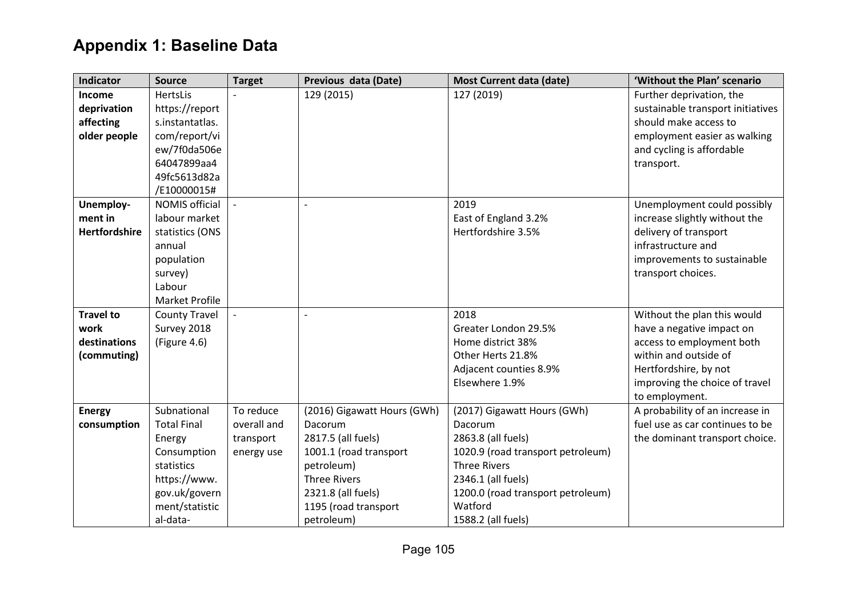| Indicator            | <b>Source</b>         | <b>Target</b> | Previous data (Date)        | <b>Most Current data (date)</b>   | 'Without the Plan' scenario       |
|----------------------|-----------------------|---------------|-----------------------------|-----------------------------------|-----------------------------------|
| Income               | HertsLis              |               | 129 (2015)                  | 127 (2019)                        | Further deprivation, the          |
| deprivation          | https://report        |               |                             |                                   | sustainable transport initiatives |
| affecting            | s.instantatlas.       |               |                             |                                   | should make access to             |
| older people         | com/report/vi         |               |                             |                                   | employment easier as walking      |
|                      | ew/7f0da506e          |               |                             |                                   | and cycling is affordable         |
|                      | 64047899aa4           |               |                             |                                   | transport.                        |
|                      | 49fc5613d82a          |               |                             |                                   |                                   |
|                      | /E10000015#           |               |                             |                                   |                                   |
| Unemploy-            | <b>NOMIS official</b> | $\mathbf{r}$  | $\overline{a}$              | 2019                              | Unemployment could possibly       |
| ment in              | labour market         |               |                             | East of England 3.2%              | increase slightly without the     |
| <b>Hertfordshire</b> | statistics (ONS       |               |                             | Hertfordshire 3.5%                | delivery of transport             |
|                      | annual                |               |                             |                                   | infrastructure and                |
|                      | population            |               |                             |                                   | improvements to sustainable       |
|                      | survey)               |               |                             |                                   | transport choices.                |
|                      | Labour                |               |                             |                                   |                                   |
|                      | Market Profile        |               |                             |                                   |                                   |
| <b>Travel to</b>     | <b>County Travel</b>  |               | $\sim$                      | 2018                              | Without the plan this would       |
| work                 | Survey 2018           |               |                             | Greater London 29.5%              | have a negative impact on         |
| destinations         | (Figure 4.6)          |               |                             | Home district 38%                 | access to employment both         |
| (commuting)          |                       |               |                             | Other Herts 21.8%                 | within and outside of             |
|                      |                       |               |                             | Adjacent counties 8.9%            | Hertfordshire, by not             |
|                      |                       |               |                             | Elsewhere 1.9%                    | improving the choice of travel    |
|                      |                       |               |                             |                                   | to employment.                    |
| <b>Energy</b>        | Subnational           | To reduce     | (2016) Gigawatt Hours (GWh) | (2017) Gigawatt Hours (GWh)       | A probability of an increase in   |
| consumption          | <b>Total Final</b>    | overall and   | Dacorum                     | Dacorum                           | fuel use as car continues to be   |
|                      | Energy                | transport     | 2817.5 (all fuels)          | 2863.8 (all fuels)                | the dominant transport choice.    |
|                      | Consumption           | energy use    | 1001.1 (road transport      | 1020.9 (road transport petroleum) |                                   |
|                      | statistics            |               | petroleum)                  | <b>Three Rivers</b>               |                                   |
|                      | https://www.          |               | <b>Three Rivers</b>         | 2346.1 (all fuels)                |                                   |
|                      | gov.uk/govern         |               | 2321.8 (all fuels)          | 1200.0 (road transport petroleum) |                                   |
|                      | ment/statistic        |               | 1195 (road transport        | Watford                           |                                   |
|                      | al-data-              |               | petroleum)                  | 1588.2 (all fuels)                |                                   |